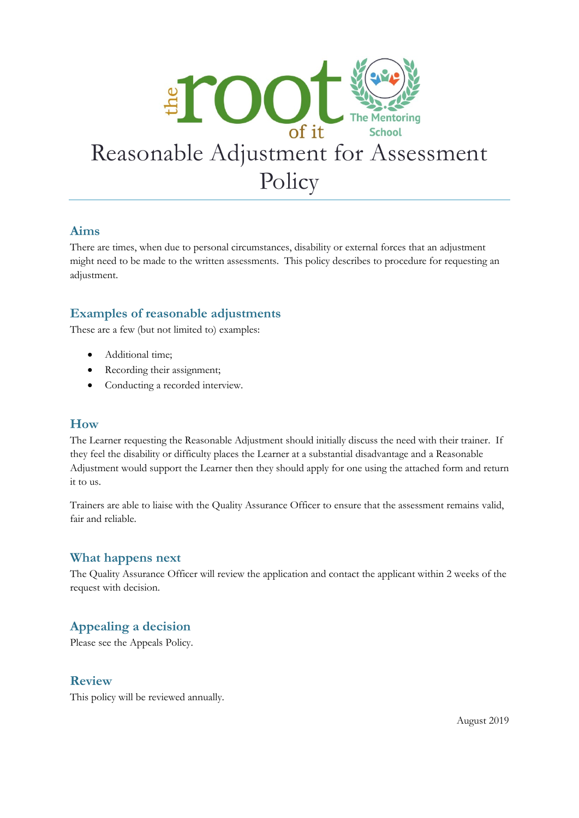

#### **Aims**

There are times, when due to personal circumstances, disability or external forces that an adjustment might need to be made to the written assessments. This policy describes to procedure for requesting an adjustment.

### **Examples of reasonable adjustments**

These are a few (but not limited to) examples:

- Additional time;
- Recording their assignment;
- Conducting a recorded interview.

#### **How**

The Learner requesting the Reasonable Adjustment should initially discuss the need with their trainer. If they feel the disability or difficulty places the Learner at a substantial disadvantage and a Reasonable Adjustment would support the Learner then they should apply for one using the attached form and return it to us.

Trainers are able to liaise with the Quality Assurance Officer to ensure that the assessment remains valid, fair and reliable.

#### **What happens next**

The Quality Assurance Officer will review the application and contact the applicant within 2 weeks of the request with decision.

## **Appealing a decision**

Please see the Appeals Policy.

#### **Review**

This policy will be reviewed annually.